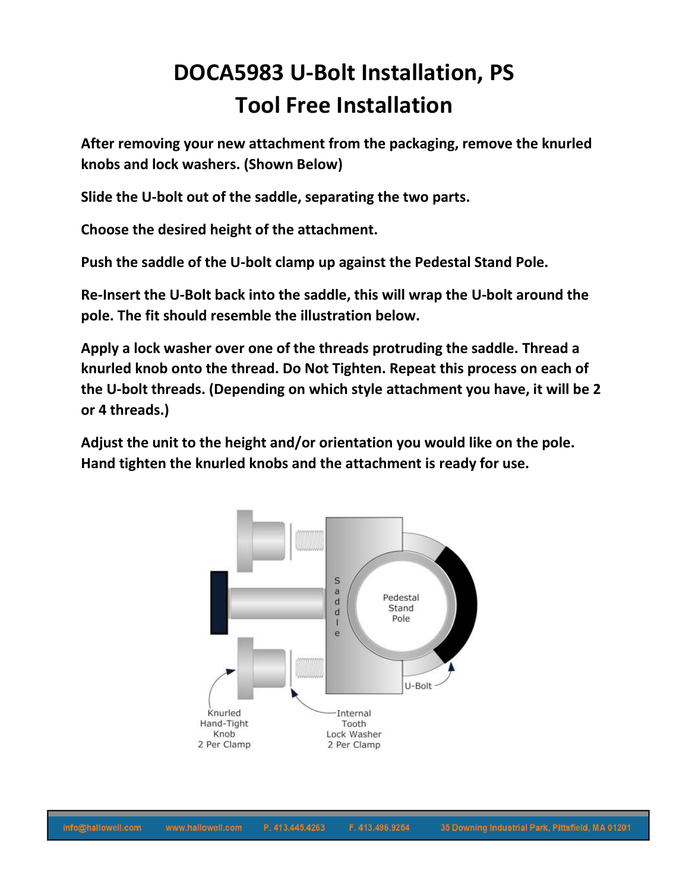## **DOCA5983 U-Bolt Installation, PS Tool Free Installation**

**After removing your new attachment from the packaging, remove the knurled knobs and lock washers. (Shown Below)**

**Slide the U-bolt out of the saddle, separating the two parts.**

**Choose the desired height of the attachment.**

**Push the saddle of the U-bolt clamp up against the Pedestal Stand Pole.**

**Re-Insert the U-Bolt back into the saddle, this will wrap the U-bolt around the pole. The fit should resemble the illustration below.**

**Apply a lock washer over one of the threads protruding the saddle. Thread a knurled knob onto the thread. Do Not Tighten. Repeat this process on each of the U-bolt threads. (Depending on which style attachment you have, it will be 2 or 4 threads.)**

**Adjust the unit to the height and/or orientation you would like on the pole. Hand tighten the knurled knobs and the attachment is ready for use.**